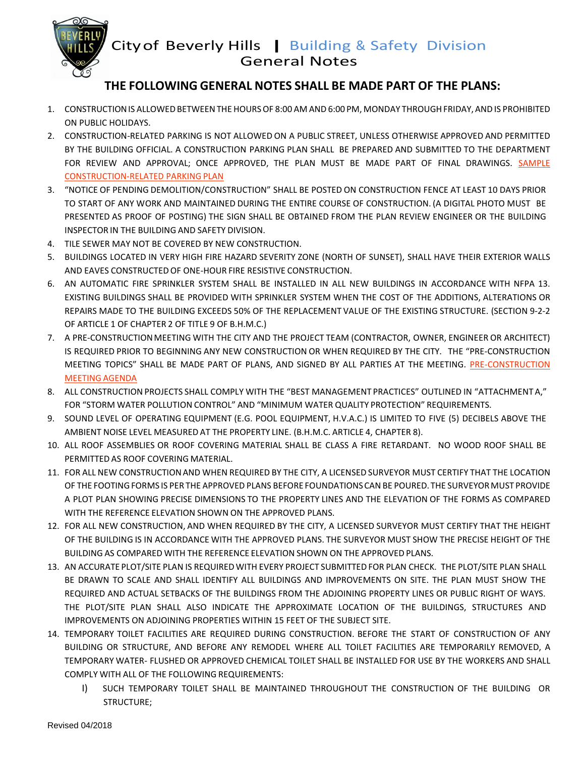Cityof Beverly Hills | Building & Safety Division General Notes

## **THE FOLLOWING GENERAL NOTES SHALL BE MADE PART OF THE PLANS:**

- 1. CONSTRUCTIONIS ALLOWEDBETWEENTHE HOURSOF 8:00 AM AND 6:00 PM, MONDAY THROUGHFRIDAY, AND IS PROHIBITED ON PUBLIC HOLIDAYS.
- 2. CONSTRUCTION-RELATED PARKING IS NOT ALLOWED ON A PUBLIC STREET, UNLESS OTHERWISE APPROVED AND PERMITTED BY THE BUILDING OFFICIAL. A CONSTRUCTION PARKING PLAN SHALL BE PREPARED AND SUBMITTED TO THE DEPARTMENT FOR REVIEW AND APPROVAL; ONCE APPROVED, THE PLAN MUST BE MADE PART OF FINAL DRAWINGS. SAMPLE CONSTRUCTION-RELATED PARKING PLAN
- 3. "NOTICE OF PENDING DEMOLITION/CONSTRUCTION" SHALL BE POSTED ON CONSTRUCTION FENCE AT LEAST 10 DAYS PRIOR TO START OF ANY WORK AND MAINTAINED DURING THE ENTIRE COURSE OF CONSTRUCTION. (A DIGITAL PHOTO MUST BE PRESENTED AS PROOF OF POSTING) THE SIGN SHALL BE OBTAINED FROM THE PLAN REVIEW ENGINEER OR THE BUILDING INSPECTOR IN THE BUILDING AND SAFETY DIVISION.
- 4. TILE SEWER MAY NOT BE COVERED BY NEW CONSTRUCTION.
- 5. BUILDINGS LOCATED IN VERY HIGH FIRE HAZARD SEVERITY ZONE (NORTH OF SUNSET), SHALL HAVE THEIR EXTERIOR WALLS AND EAVES CONSTRUCTEDOF ONE-HOUR FIRE RESISTIVE CONSTRUCTION.
- 6. AN AUTOMATIC FIRE SPRINKLER SYSTEM SHALL BE INSTALLED IN ALL NEW BUILDINGS IN ACCORDANCE WITH NFPA 13. EXISTING BUILDINGS SHALL BE PROVIDED WITH SPRINKLER SYSTEM WHEN THE COST OF THE ADDITIONS, ALTERATIONS OR REPAIRS MADE TO THE BUILDING EXCEEDS 50% OF THE REPLACEMENT VALUE OF THE EXISTING STRUCTURE. (SECTION 9-2-2 OF ARTICLE 1 OF CHAPTER 2 OF TITLE 9 OF B.H.M.C.)
- 7. A PRE-CONSTRUCTIONMEETING WITH THE CITY AND THE PROJECT TEAM (CONTRACTOR, OWNER, ENGINEER OR ARCHITECT) IS REQUIRED PRIOR TO BEGINNING ANY NEW CONSTRUCTION OR WHEN REQUIRED BY THE CITY. THE "PRE-CONSTRUCTION MEETING TOPICS" SHALL BE MADE PART OF PLANS, AND SIGNED BY ALL PARTIES AT THE MEETING. PRE-CONSTRUCTION MEETING AGENDA
- 8. ALL CONSTRUCTION PROJECTS SHALL COMPLY WITH THE "BEST MANAGEMENT PRACTICES" OUTLINED IN "ATTACHMENT A," FOR "STORM WATER POLLUTION CONTROL" AND "MINIMUM WATER QUALITY PROTECTION" REQUIREMENTS.
- 9. SOUND LEVEL OF OPERATING EQUIPMENT (E.G. POOL EQUIPMENT, H.V.A.C.) IS LIMITED TO FIVE (5) DECIBELS ABOVE THE AMBIENT NOISE LEVEL MEASURED AT THE PROPERTY LINE. (B.H.M.C. ARTICLE 4, CHAPTER 8).
- 10. ALL ROOF ASSEMBLIES OR ROOF COVERING MATERIAL SHALL BE CLASS A FIRE RETARDANT. NO WOOD ROOF SHALL BE PERMITTED AS ROOF COVERING MATERIAL.
- 11. FOR ALL NEW CONSTRUCTIONAND WHEN REQUIRED BY THE CITY, A LICENSED SURVEYOR MUST CERTIFY THAT THE LOCATION OF THE FOOTINGFORMS IS PER THE APPROVED PLANS BEFORE FOUNDATIONSCAN BE POURED. THE SURVEYORMUST PROVIDE A PLOT PLAN SHOWING PRECISE DIMENSIONS TO THE PROPERTY LINES AND THE ELEVATION OF THE FORMS AS COMPARED WITH THE REFERENCE ELEVATION SHOWN ON THE APPROVED PLANS.
- 12. FOR ALL NEW CONSTRUCTION, AND WHEN REQUIRED BY THE CITY, A LICENSED SURVEYOR MUST CERTIFY THAT THE HEIGHT OF THE BUILDING IS IN ACCORDANCE WITH THE APPROVED PLANS. THE SURVEYOR MUST SHOW THE PRECISE HEIGHT OF THE BUILDING AS COMPARED WITH THE REFERENCE ELEVATION SHOWN ON THE APPROVED PLANS.
- 13. AN ACCURATE PLOT/SITE PLAN IS REQUIRED WITH EVERY PROJECT SUBMITTED FOR PLAN CHECK. THE PLOT/SITE PLAN SHALL BE DRAWN TO SCALE AND SHALL IDENTIFY ALL BUILDINGS AND IMPROVEMENTS ON SITE. THE PLAN MUST SHOW THE REQUIRED AND ACTUAL SETBACKS OF THE BUILDINGS FROM THE ADJOINING PROPERTY LINES OR PUBLIC RIGHT OF WAYS. THE PLOT/SITE PLAN SHALL ALSO INDICATE THE APPROXIMATE LOCATION OF THE BUILDINGS, STRUCTURES AND IMPROVEMENTS ON ADJOINING PROPERTIES WITHIN 15 FEET OF THE SUBJECT SITE.
- 14. TEMPORARY TOILET FACILITIES ARE REQUIRED DURING CONSTRUCTION. BEFORE THE START OF CONSTRUCTION OF ANY BUILDING OR STRUCTURE, AND BEFORE ANY REMODEL WHERE ALL TOILET FACILITIES ARE TEMPORARILY REMOVED, A TEMPORARY WATER- FLUSHED OR APPROVED CHEMICAL TOILET SHALL BE INSTALLED FOR USE BY THE WORKERS AND SHALL COMPLY WITH ALL OF THE FOLLOWING REQUIREMENTS:
	- I) SUCH TEMPORARY TOILET SHALL BE MAINTAINED THROUGHOUT THE CONSTRUCTION OF THE BUILDING OR STRUCTURE;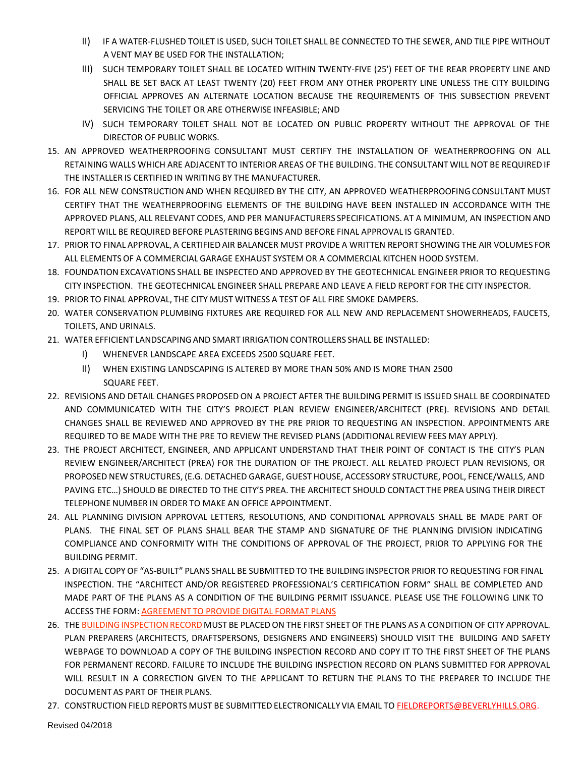- II) IF A WATER-FLUSHED TOILET IS USED, SUCH TOILET SHALL BE CONNECTED TO THE SEWER, AND TILE PIPE WITHOUT A VENT MAY BE USED FOR THE INSTALLATION;
- III) SUCH TEMPORARY TOILET SHALL BE LOCATED WITHIN TWENTY-FIVE (25') FEET OF THE REAR PROPERTY LINE AND SHALL BE SET BACK AT LEAST TWENTY (20) FEET FROM ANY OTHER PROPERTY LINE UNLESS THE CITY BUILDING OFFICIAL APPROVES AN ALTERNATE LOCATION BECAUSE THE REQUIREMENTS OF THIS SUBSECTION PREVENT SERVICING THE TOILET OR ARE OTHERWISE INFEASIBLE; AND
- IV) SUCH TEMPORARY TOILET SHALL NOT BE LOCATED ON PUBLIC PROPERTY WITHOUT THE APPROVAL OF THE DIRECTOR OF PUBLIC WORKS.
- 15. AN APPROVED WEATHERPROOFING CONSULTANT MUST CERTIFY THE INSTALLATION OF WEATHERPROOFING ON ALL RETAINING WALLS WHICH ARE ADJACENT TO INTERIOR AREAS OF THE BUILDING. THE CONSULTANT WILL NOT BE REQUIRED IF THE INSTALLER IS CERTIFIED IN WRITING BY THE MANUFACTURER.
- 16. FOR ALL NEW CONSTRUCTION AND WHEN REQUIRED BY THE CITY, AN APPROVED WEATHERPROOFINGCONSULTANT MUST CERTIFY THAT THE WEATHERPROOFING ELEMENTS OF THE BUILDING HAVE BEEN INSTALLED IN ACCORDANCE WITH THE APPROVED PLANS, ALL RELEVANT CODES, AND PER MANUFACTURERS SPECIFICATIONS. AT A MINIMUM, AN INSPECTION AND REPORT WILL BE REQUIRED BEFORE PLASTERINGBEGINS AND BEFORE FINAL APPROVAL IS GRANTED.
- 17. PRIOR TO FINAL APPROVAL, A CERTIFIED AIR BALANCER MUST PROVIDE A WRITTEN REPORT SHOWING THE AIR VOLUMES FOR ALL ELEMENTS OF A COMMERCIAL GARAGE EXHAUST SYSTEM OR A COMMERCIAL KITCHEN HOOD SYSTEM.
- 18. FOUNDATION EXCAVATIONS SHALL BE INSPECTED AND APPROVED BY THE GEOTECHNICAL ENGINEER PRIOR TO REQUESTING CITY INSPECTION. THE GEOTECHNICAL ENGINEER SHALL PREPARE AND LEAVE A FIELD REPORT FOR THE CITY INSPECTOR.
- 19. PRIOR TO FINAL APPROVAL, THE CITY MUST WITNESS A TEST OF ALL FIRE SMOKE DAMPERS.
- 20. WATER CONSERVATION PLUMBING FIXTURES ARE REQUIRED FOR ALL NEW AND REPLACEMENT SHOWERHEADS, FAUCETS, TOILETS, AND URINALS.
- 21. WATER EFFICIENT LANDSCAPINGAND SMART IRRIGATION CONTROLLERS SHALL BE INSTALLED:
	- I) WHENEVER LANDSCAPE AREA EXCEEDS 2500 SQUARE FEET.
	- II) WHEN EXISTING LANDSCAPING IS ALTERED BY MORE THAN 50% AND IS MORE THAN 2500 SQUARE FEET.
- 22. REVISIONS AND DETAIL CHANGES PROPOSED ON A PROJECT AFTER THE BUILDING PERMIT IS ISSUED SHALL BE COORDINATED AND COMMUNICATED WITH THE CITY'S PROJECT PLAN REVIEW ENGINEER/ARCHITECT (PRE). REVISIONS AND DETAIL CHANGES SHALL BE REVIEWED AND APPROVED BY THE PRE PRIOR TO REQUESTING AN INSPECTION. APPOINTMENTS ARE REQUIRED TO BE MADE WITH THE PRE TO REVIEW THE REVISED PLANS (ADDITIONAL REVIEW FEES MAY APPLY).
- 23. THE PROJECT ARCHITECT, ENGINEER, AND APPLICANT UNDERSTAND THAT THEIR POINT OF CONTACT IS THE CITY'S PLAN REVIEW ENGINEER/ARCHITECT (PREA) FOR THE DURATION OF THE PROJECT. ALL RELATED PROJECT PLAN REVISIONS, OR PROPOSED NEW STRUCTURES, (E.G. DETACHED GARAGE, GUEST HOUSE, ACCESSORY STRUCTURE, POOL, FENCE/WALLS, AND PAVING ETC…) SHOULD BE DIRECTED TO THE CITY'S PREA. THE ARCHITECT SHOULD CONTACT THE PREA USING THEIR DIRECT TELEPHONE NUMBER IN ORDER TO MAKE AN OFFICE APPOINTMENT.
- 24. ALL PLANNING DIVISION APPROVAL LETTERS, RESOLUTIONS, AND CONDITIONAL APPROVALS SHALL BE MADE PART OF PLANS. THE FINAL SET OF PLANS SHALL BEAR THE STAMP AND SIGNATURE OF THE PLANNING DIVISION INDICATING COMPLIANCE AND CONFORMITY WITH THE CONDITIONS OF APPROVAL OF THE PROJECT, PRIOR TO APPLYING FOR THE BUILDING PERMIT.
- 25. A DIGITAL COPY OF "AS-BUILT" PLANS SHALL BE SUBMITTED TO THE BUILDING INSPECTOR PRIOR TO REQUESTING FOR FINAL INSPECTION. THE "ARCHITECT AND/OR REGISTERED PROFESSIONAL'S CERTIFICATION FORM" SHALL BE COMPLETED AND MADE PART OF THE PLANS AS A CONDITION OF THE BUILDING PERMIT ISSUANCE. PLEASE USE THE FOLLOWING LINK TO ACCESS THE FORM: AGREEMENT TO PROVIDE DIGITAL FORMAT PLANS
- 26. THE BUILDING INSPECTION RECORD MUST BE PLACED ON THE FIRST SHEET OF THE PLANS AS A CONDITION OF CITY APPROVAL. PLAN PREPARERS (ARCHITECTS, DRAFTSPERSONS, DESIGNERS AND ENGINEERS) SHOULD VISIT THE BUILDING AND SAFETY WEBPAGE TO DOWNLOAD A COPY OF THE BUILDING INSPECTION RECORD AND COPY IT TO THE FIRST SHEET OF THE PLANS FOR PERMANENT RECORD. FAILURE TO INCLUDE THE BUILDING INSPECTION RECORD ON PLANS SUBMITTED FOR APPROVAL WILL RESULT IN A CORRECTION GIVEN TO THE APPLICANT TO RETURN THE PLANS TO THE PREPARER TO INCLUDE THE DOCUMENT AS PART OF THEIR PLANS.
- 27. CONSTRUCTION FIELD REPORTS MUST BE SUBMITTED ELECTRONICALLY VIA EMAIL T[O FIELDREPORTS@BEVERLYHILLS.ORG.](mailto:FIELDREPORTS@BEVERLYHILLS.ORG)